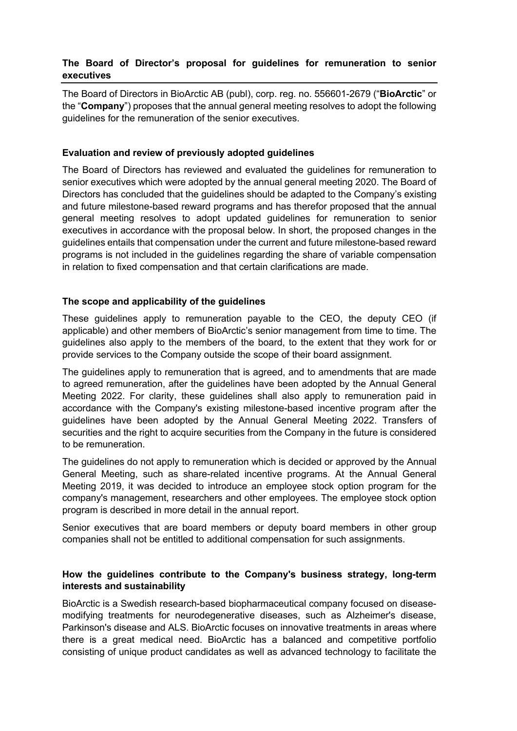# **The Board of Director's proposal for guidelines for remuneration to senior executives**

The Board of Directors in BioArctic AB (publ), corp. reg. no. 556601-2679 ("**BioArctic**" or the "**Company**") proposes that the annual general meeting resolves to adopt the following guidelines for the remuneration of the senior executives.

# **Evaluation and review of previously adopted guidelines**

The Board of Directors has reviewed and evaluated the guidelines for remuneration to senior executives which were adopted by the annual general meeting 2020. The Board of Directors has concluded that the guidelines should be adapted to the Company's existing and future milestone-based reward programs and has therefor proposed that the annual general meeting resolves to adopt updated guidelines for remuneration to senior executives in accordance with the proposal below. In short, the proposed changes in the guidelines entails that compensation under the current and future milestone-based reward programs is not included in the guidelines regarding the share of variable compensation in relation to fixed compensation and that certain clarifications are made.

### **The scope and applicability of the guidelines**

These guidelines apply to remuneration payable to the CEO, the deputy CEO (if applicable) and other members of BioArctic's senior management from time to time. The guidelines also apply to the members of the board, to the extent that they work for or provide services to the Company outside the scope of their board assignment.

The guidelines apply to remuneration that is agreed, and to amendments that are made to agreed remuneration, after the guidelines have been adopted by the Annual General Meeting 2022. For clarity, these guidelines shall also apply to remuneration paid in accordance with the Company's existing milestone-based incentive program after the guidelines have been adopted by the Annual General Meeting 2022. Transfers of securities and the right to acquire securities from the Company in the future is considered to be remuneration.

The guidelines do not apply to remuneration which is decided or approved by the Annual General Meeting, such as share-related incentive programs. At the Annual General Meeting 2019, it was decided to introduce an employee stock option program for the company's management, researchers and other employees. The employee stock option program is described in more detail in the annual report.

Senior executives that are board members or deputy board members in other group companies shall not be entitled to additional compensation for such assignments.

# **How the guidelines contribute to the Company's business strategy, long-term interests and sustainability**

BioArctic is a Swedish research-based biopharmaceutical company focused on diseasemodifying treatments for neurodegenerative diseases, such as Alzheimer's disease, Parkinson's disease and ALS. BioArctic focuses on innovative treatments in areas where there is a great medical need. BioArctic has a balanced and competitive portfolio consisting of unique product candidates as well as advanced technology to facilitate the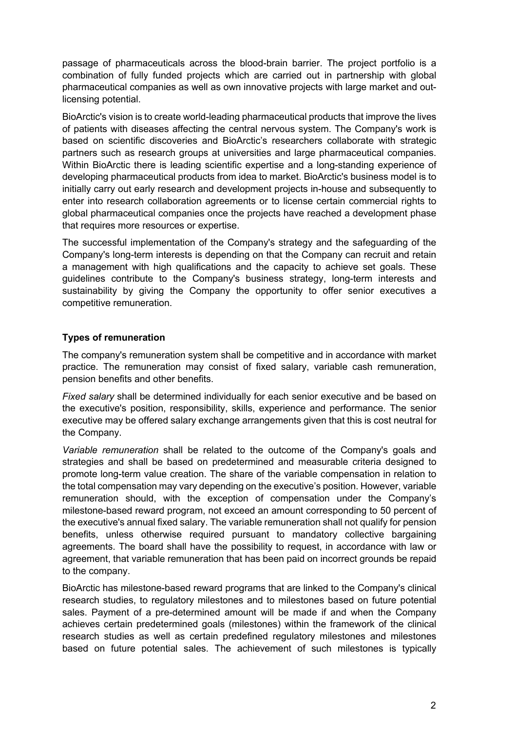passage of pharmaceuticals across the blood-brain barrier. The project portfolio is a combination of fully funded projects which are carried out in partnership with global pharmaceutical companies as well as own innovative projects with large market and outlicensing potential.

BioArctic's vision is to create world-leading pharmaceutical products that improve the lives of patients with diseases affecting the central nervous system. The Company's work is based on scientific discoveries and BioArctic's researchers collaborate with strategic partners such as research groups at universities and large pharmaceutical companies. Within BioArctic there is leading scientific expertise and a long-standing experience of developing pharmaceutical products from idea to market. BioArctic's business model is to initially carry out early research and development projects in-house and subsequently to enter into research collaboration agreements or to license certain commercial rights to global pharmaceutical companies once the projects have reached a development phase that requires more resources or expertise.

The successful implementation of the Company's strategy and the safeguarding of the Company's long-term interests is depending on that the Company can recruit and retain a management with high qualifications and the capacity to achieve set goals. These guidelines contribute to the Company's business strategy, long-term interests and sustainability by giving the Company the opportunity to offer senior executives a competitive remuneration.

# **Types of remuneration**

The company's remuneration system shall be competitive and in accordance with market practice. The remuneration may consist of fixed salary, variable cash remuneration, pension benefits and other benefits.

*Fixed salary* shall be determined individually for each senior executive and be based on the executive's position, responsibility, skills, experience and performance. The senior executive may be offered salary exchange arrangements given that this is cost neutral for the Company.

*Variable remuneration* shall be related to the outcome of the Company's goals and strategies and shall be based on predetermined and measurable criteria designed to promote long-term value creation. The share of the variable compensation in relation to the total compensation may vary depending on the executive's position. However, variable remuneration should, with the exception of compensation under the Company's milestone-based reward program, not exceed an amount corresponding to 50 percent of the executive's annual fixed salary. The variable remuneration shall not qualify for pension benefits, unless otherwise required pursuant to mandatory collective bargaining agreements. The board shall have the possibility to request, in accordance with law or agreement, that variable remuneration that has been paid on incorrect grounds be repaid to the company.

BioArctic has milestone-based reward programs that are linked to the Company's clinical research studies, to regulatory milestones and to milestones based on future potential sales. Payment of a pre-determined amount will be made if and when the Company achieves certain predetermined goals (milestones) within the framework of the clinical research studies as well as certain predefined regulatory milestones and milestones based on future potential sales. The achievement of such milestones is typically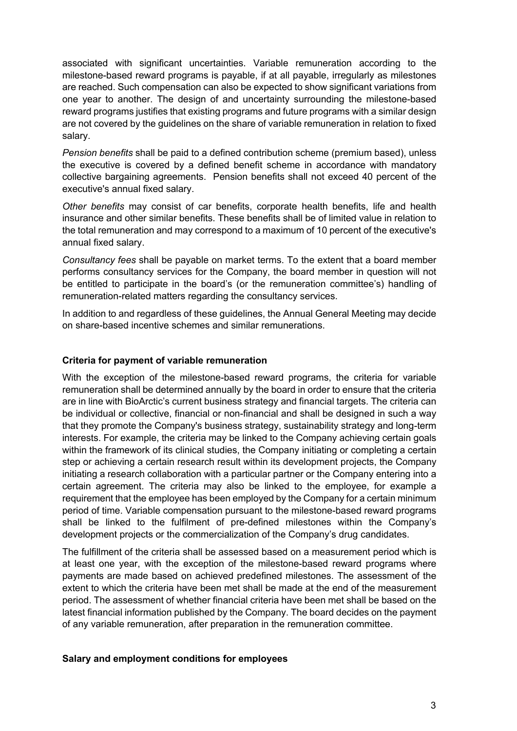associated with significant uncertainties. Variable remuneration according to the milestone-based reward programs is payable, if at all payable, irregularly as milestones are reached. Such compensation can also be expected to show significant variations from one year to another. The design of and uncertainty surrounding the milestone-based reward programs justifies that existing programs and future programs with a similar design are not covered by the guidelines on the share of variable remuneration in relation to fixed salary.

*Pension benefits* shall be paid to a defined contribution scheme (premium based), unless the executive is covered by a defined benefit scheme in accordance with mandatory collective bargaining agreements. Pension benefits shall not exceed 40 percent of the executive's annual fixed salary.

*Other benefits* may consist of car benefits, corporate health benefits, life and health insurance and other similar benefits. These benefits shall be of limited value in relation to the total remuneration and may correspond to a maximum of 10 percent of the executive's annual fixed salary.

*Consultancy fees* shall be payable on market terms. To the extent that a board member performs consultancy services for the Company, the board member in question will not be entitled to participate in the board's (or the remuneration committee's) handling of remuneration-related matters regarding the consultancy services.

In addition to and regardless of these guidelines, the Annual General Meeting may decide on share-based incentive schemes and similar remunerations.

#### **Criteria for payment of variable remuneration**

With the exception of the milestone-based reward programs, the criteria for variable remuneration shall be determined annually by the board in order to ensure that the criteria are in line with BioArctic's current business strategy and financial targets. The criteria can be individual or collective, financial or non-financial and shall be designed in such a way that they promote the Company's business strategy, sustainability strategy and long-term interests. For example, the criteria may be linked to the Company achieving certain goals within the framework of its clinical studies, the Company initiating or completing a certain step or achieving a certain research result within its development projects, the Company initiating a research collaboration with a particular partner or the Company entering into a certain agreement. The criteria may also be linked to the employee, for example a requirement that the employee has been employed by the Company for a certain minimum period of time. Variable compensation pursuant to the milestone-based reward programs shall be linked to the fulfilment of pre-defined milestones within the Company's development projects or the commercialization of the Company's drug candidates.

The fulfillment of the criteria shall be assessed based on a measurement period which is at least one year, with the exception of the milestone-based reward programs where payments are made based on achieved predefined milestones. The assessment of the extent to which the criteria have been met shall be made at the end of the measurement period. The assessment of whether financial criteria have been met shall be based on the latest financial information published by the Company. The board decides on the payment of any variable remuneration, after preparation in the remuneration committee.

#### **Salary and employment conditions for employees**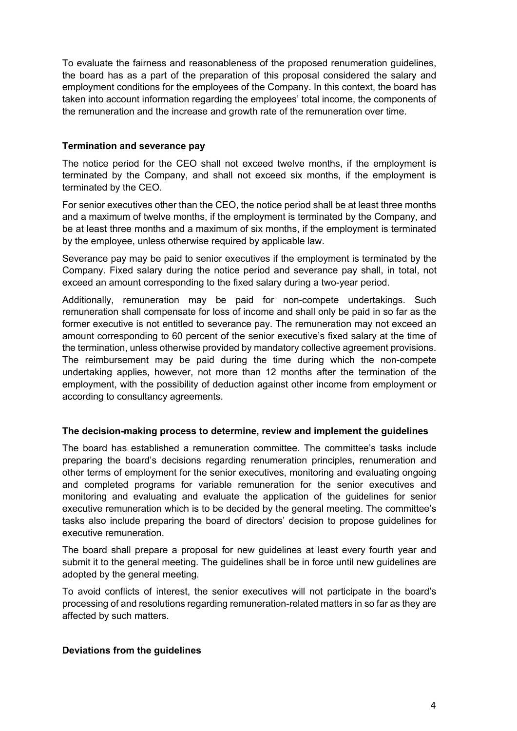To evaluate the fairness and reasonableness of the proposed renumeration guidelines, the board has as a part of the preparation of this proposal considered the salary and employment conditions for the employees of the Company. In this context, the board has taken into account information regarding the employees' total income, the components of the remuneration and the increase and growth rate of the remuneration over time.

# **Termination and severance pay**

The notice period for the CEO shall not exceed twelve months, if the employment is terminated by the Company, and shall not exceed six months, if the employment is terminated by the CEO.

For senior executives other than the CEO, the notice period shall be at least three months and a maximum of twelve months, if the employment is terminated by the Company, and be at least three months and a maximum of six months, if the employment is terminated by the employee, unless otherwise required by applicable law.

Severance pay may be paid to senior executives if the employment is terminated by the Company. Fixed salary during the notice period and severance pay shall, in total, not exceed an amount corresponding to the fixed salary during a two-year period.

Additionally, remuneration may be paid for non-compete undertakings. Such remuneration shall compensate for loss of income and shall only be paid in so far as the former executive is not entitled to severance pay. The remuneration may not exceed an amount corresponding to 60 percent of the senior executive's fixed salary at the time of the termination, unless otherwise provided by mandatory collective agreement provisions. The reimbursement may be paid during the time during which the non-compete undertaking applies, however, not more than 12 months after the termination of the employment, with the possibility of deduction against other income from employment or according to consultancy agreements.

# **The decision-making process to determine, review and implement the guidelines**

The board has established a remuneration committee. The committee's tasks include preparing the board's decisions regarding renumeration principles, renumeration and other terms of employment for the senior executives, monitoring and evaluating ongoing and completed programs for variable remuneration for the senior executives and monitoring and evaluating and evaluate the application of the guidelines for senior executive remuneration which is to be decided by the general meeting. The committee's tasks also include preparing the board of directors' decision to propose guidelines for executive remuneration.

The board shall prepare a proposal for new guidelines at least every fourth year and submit it to the general meeting. The guidelines shall be in force until new guidelines are adopted by the general meeting.

To avoid conflicts of interest, the senior executives will not participate in the board's processing of and resolutions regarding remuneration-related matters in so far as they are affected by such matters.

# **Deviations from the guidelines**